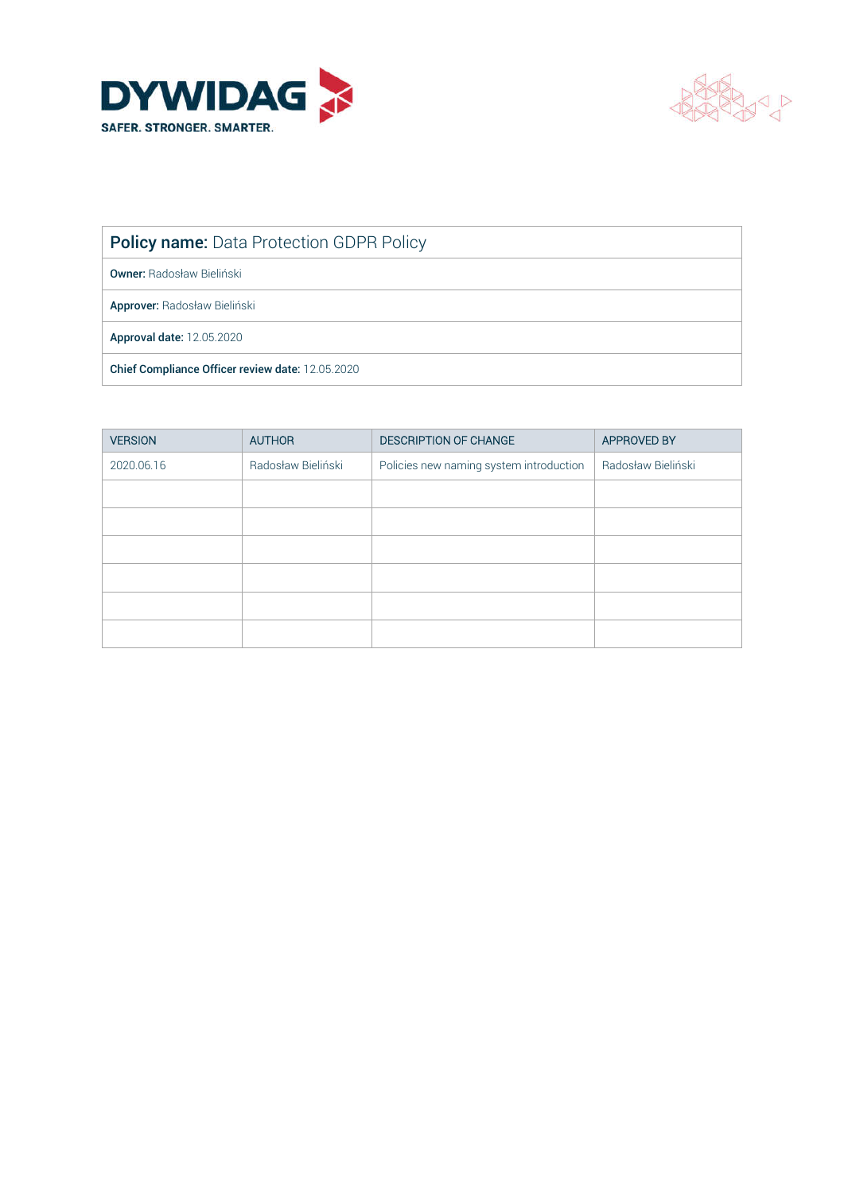



Policy name: Data Protection GDPR Policy

Owner: Radosław Bieliński

Approver: Radosław Bieliński

Approval date: 12.05.2020

Chief Compliance Officer review date: 12.05.2020

| <b>VERSION</b> | <b>AUTHOR</b>      | <b>DESCRIPTION OF CHANGE</b>            | <b>APPROVED BY</b> |
|----------------|--------------------|-----------------------------------------|--------------------|
| 2020.06.16     | Radosław Bieliński | Policies new naming system introduction | Radosław Bieliński |
|                |                    |                                         |                    |
|                |                    |                                         |                    |
|                |                    |                                         |                    |
|                |                    |                                         |                    |
|                |                    |                                         |                    |
|                |                    |                                         |                    |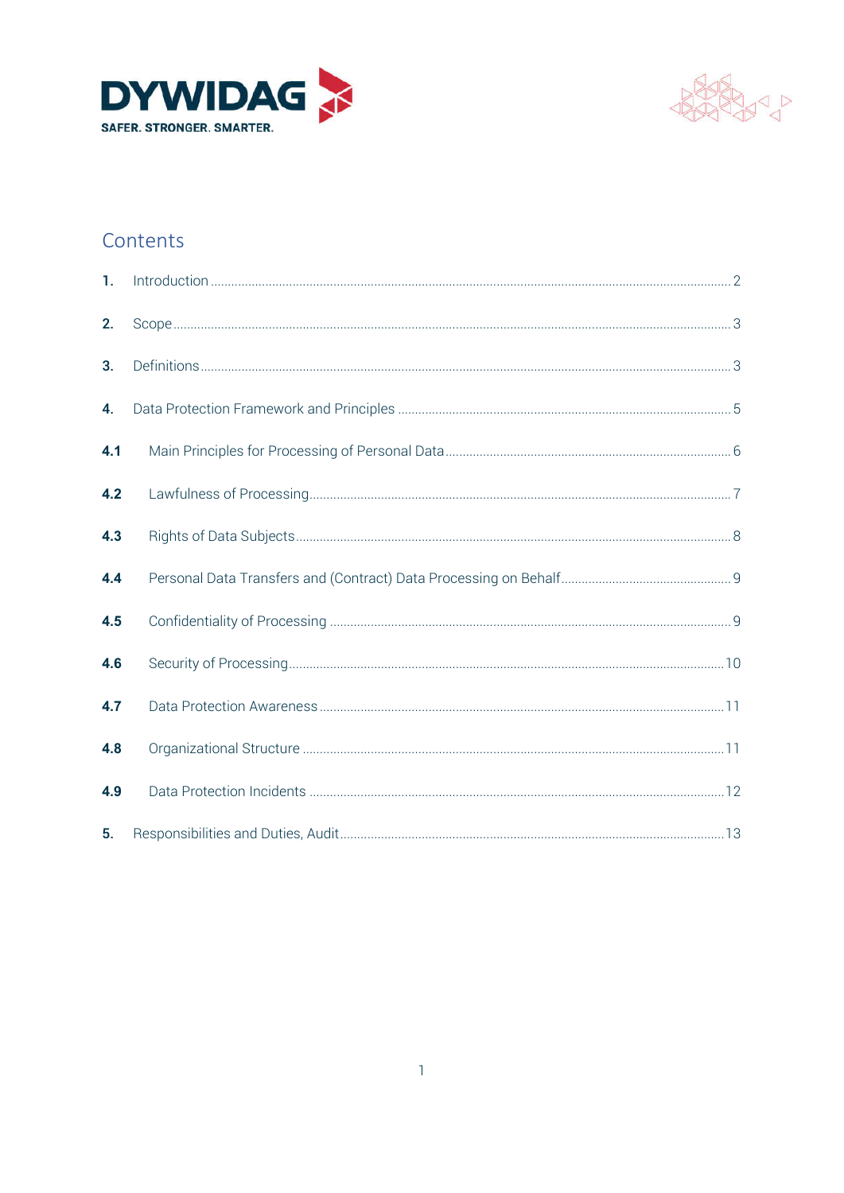



### Contents

| 1.  |  |
|-----|--|
| 2.  |  |
| 3.  |  |
| 4.  |  |
| 4.1 |  |
| 4.2 |  |
| 4.3 |  |
| 4.4 |  |
| 4.5 |  |
| 4.6 |  |
| 4.7 |  |
| 4.8 |  |
| 4.9 |  |
| 5.  |  |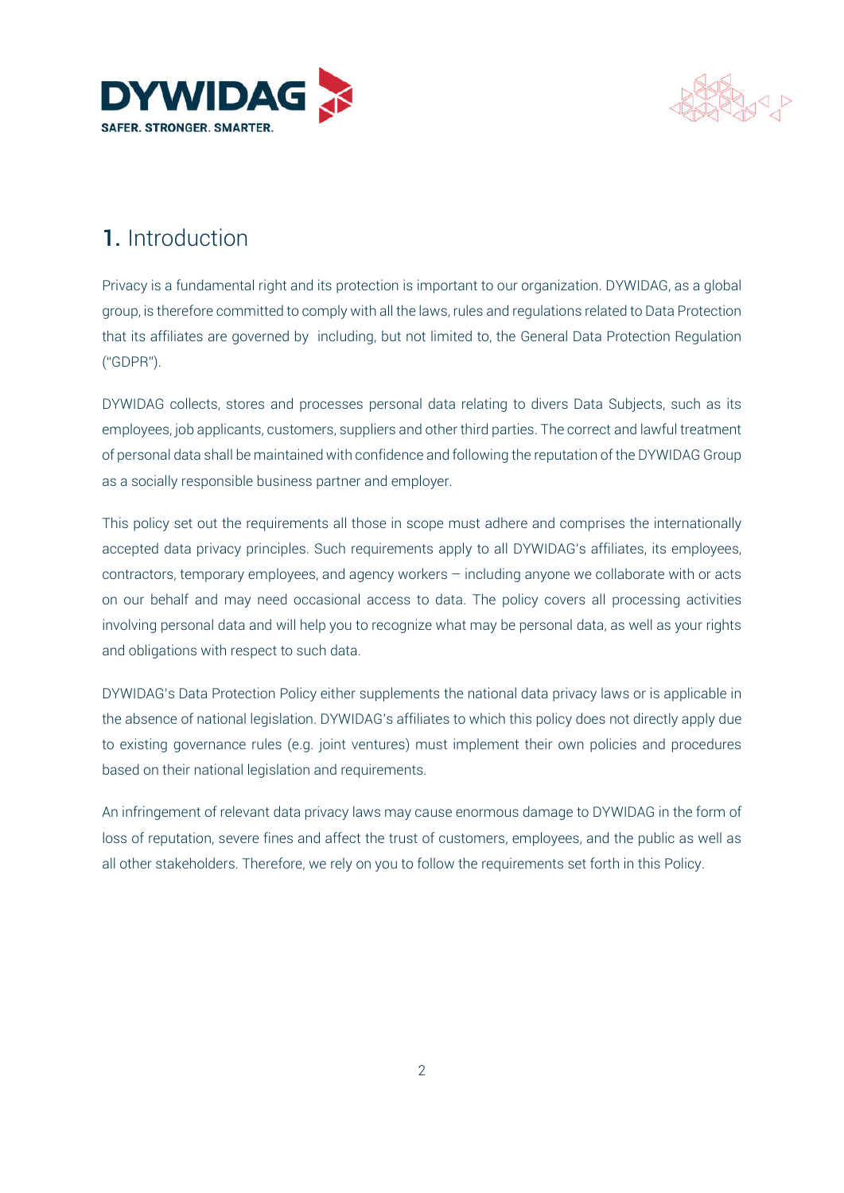



# 1. Introduction

Privacy is a fundamental right and its protection is important to our organization. DYWIDAG, as a global group, is therefore committed to comply with all the laws, rules and regulations related to Data Protection that its affiliates are governed by including, but not limited to, the General Data Protection Regulation ("GDPR").

DYWIDAG collects, stores and processes personal data relating to divers Data Subjects, such as its employees, job applicants, customers, suppliers and other third parties. The correct and lawful treatment of personal data shall be maintained with confidence and following the reputation of the DYWIDAG Group as a socially responsible business partner and employer.

This policy set out the requirements all those in scope must adhere and comprises the internationally accepted data privacy principles. Such requirements apply to all DYWIDAG's affiliates, its employees, contractors, temporary employees, and agency workers – including anyone we collaborate with or acts on our behalf and may need occasional access to data. The policy covers all processing activities involving personal data and will help you to recognize what may be personal data, as well as your rights and obligations with respect to such data.

DYWIDAG's Data Protection Policy either supplements the national data privacy laws or is applicable in the absence of national legislation. DYWIDAG's affiliates to which this policy does not directly apply due to existing governance rules (e.g. joint ventures) must implement their own policies and procedures based on their national legislation and requirements.

An infringement of relevant data privacy laws may cause enormous damage to DYWIDAG in the form of loss of reputation, severe fines and affect the trust of customers, employees, and the public as well as all other stakeholders. Therefore, we rely on you to follow the requirements set forth in this Policy.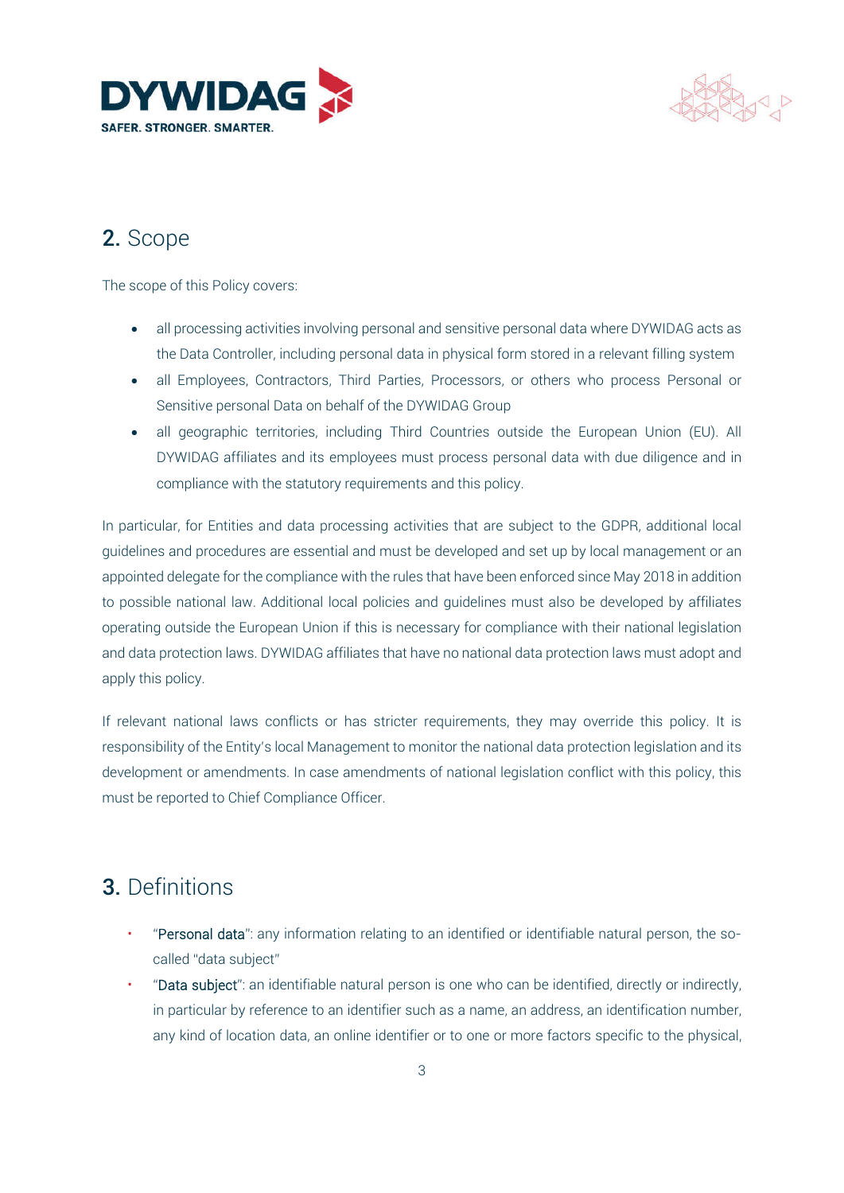



# 2. Scope

The scope of this Policy covers:

- all processing activities involving personal and sensitive personal data where DYWIDAG acts as the Data Controller, including personal data in physical form stored in a relevant filling system
- all Employees, Contractors, Third Parties, Processors, or others who process Personal or Sensitive personal Data on behalf of the DYWIDAG Group
- all geographic territories, including Third Countries outside the European Union (EU). All DYWIDAG affiliates and its employees must process personal data with due diligence and in compliance with the statutory requirements and this policy.

In particular, for Entities and data processing activities that are subject to the GDPR, additional local guidelines and procedures are essential and must be developed and set up by local management or an appointed delegate for the compliance with the rules that have been enforced since May 2018 in addition to possible national law. Additional local policies and guidelines must also be developed by affiliates operating outside the European Union if this is necessary for compliance with their national legislation and data protection laws. DYWIDAG affiliates that have no national data protection laws must adopt and apply this policy.

If relevant national laws conflicts or has stricter requirements, they may override this policy. It is responsibility of the Entity's local Management to monitor the national data protection legislation and its development or amendments. In case amendments of national legislation conflict with this policy, this must be reported to Chief Compliance Officer.

# 3. Definitions

- "Personal data": any information relating to an identified or identifiable natural person, the socalled "data subject"
- "Data subject": an identifiable natural person is one who can be identified, directly or indirectly, in particular by reference to an identifier such as a name, an address, an identification number, any kind of location data, an online identifier or to one or more factors specific to the physical,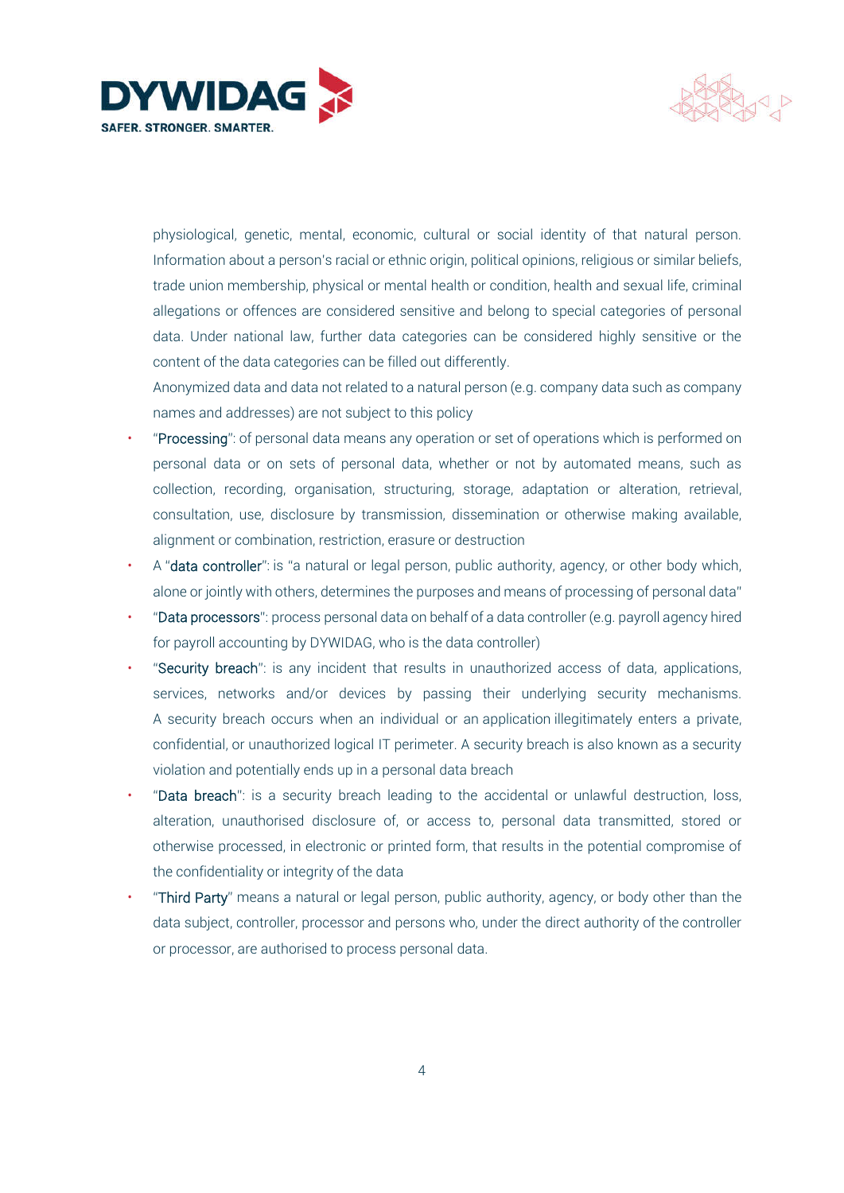



physiological, genetic, mental, economic, cultural or social identity of that natural person. Information about a person's racial or ethnic origin, political opinions, religious or similar beliefs, trade union membership, physical or mental health or condition, health and sexual life, criminal allegations or offences are considered sensitive and belong to special categories of personal data. Under national law, further data categories can be considered highly sensitive or the content of the data categories can be filled out differently.

Anonymized data and data not related to a natural person (e.g. company data such as company names and addresses) are not subject to this policy

- "Processing": of personal data means any operation or set of operations which is performed on personal data or on sets of personal data, whether or not by automated means, such as collection, recording, organisation, structuring, storage, adaptation or alteration, retrieval, consultation, use, disclosure by transmission, dissemination or otherwise making available, alignment or combination, restriction, erasure or destruction
- A "data controller": is "a natural or legal person, public authority, agency, or other body which, alone or jointly with others, determines the purposes and means of processing of personal data"
- "Data processors": process personal data on behalf of a data controller (e.g. payroll agency hired for payroll accounting by DYWIDAG, who is the data controller)
- "Security breach": is any incident that results in unauthorized access of data, applications, services, networks and/or devices by passing their underlying security mechanisms. A security breach occurs when an individual or an application illegitimately enters a private, confidential, or unauthorized logical IT perimeter. A security breach is also known as a security violation and potentially ends up in a personal data breach
- "Data breach": is a security breach leading to the accidental or unlawful destruction, loss, alteration, unauthorised disclosure of, or access to, personal data transmitted, stored or otherwise processed, in electronic or printed form, that results in the potential compromise of the confidentiality or integrity of the data
- "Third Party" means a natural or legal person, public authority, agency, or body other than the data subject, controller, processor and persons who, under the direct authority of the controller or processor, are authorised to process personal data.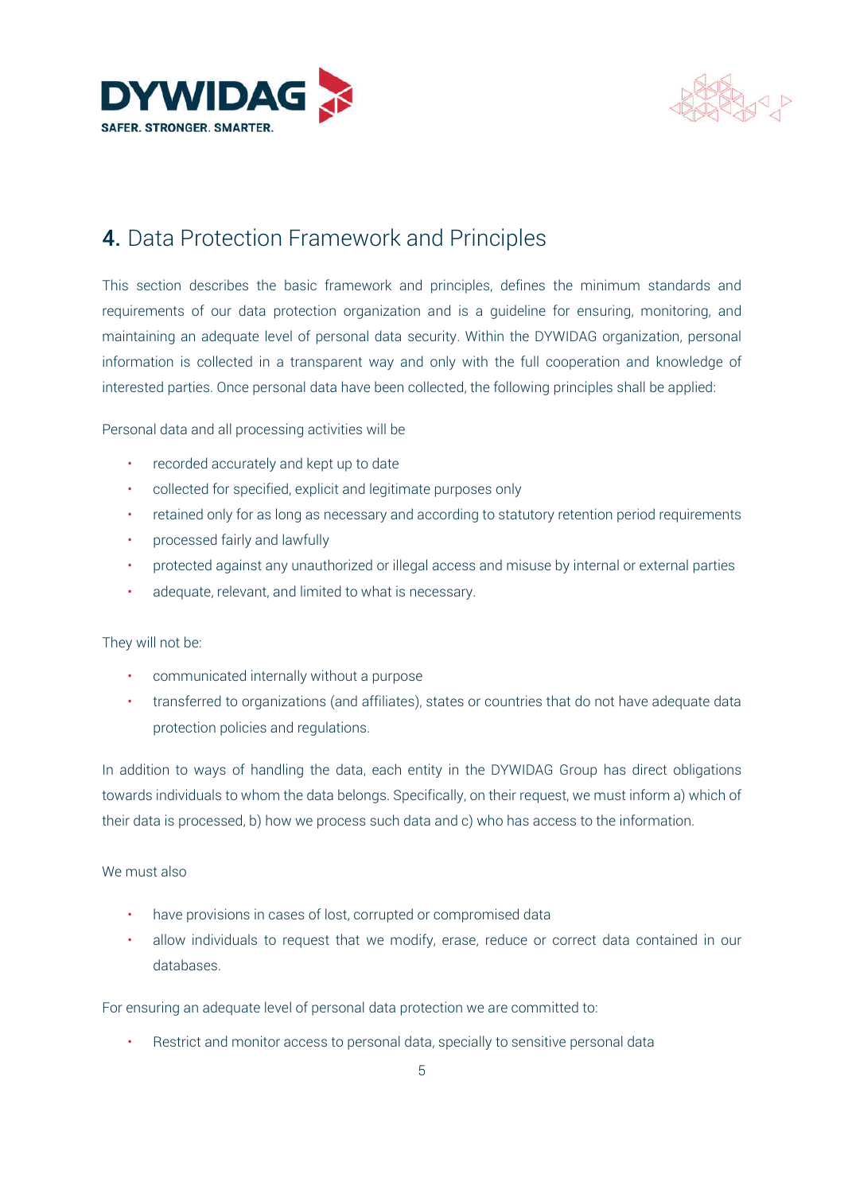



# 4. Data Protection Framework and Principles

This section describes the basic framework and principles, defines the minimum standards and requirements of our data protection organization and is a guideline for ensuring, monitoring, and maintaining an adequate level of personal data security. Within the DYWIDAG organization, personal information is collected in a transparent way and only with the full cooperation and knowledge of interested parties. Once personal data have been collected, the following principles shall be applied:

Personal data and all processing activities will be

- recorded accurately and kept up to date
- collected for specified, explicit and legitimate purposes only
- retained only for as long as necessary and according to statutory retention period requirements
- processed fairly and lawfully
- protected against any unauthorized or illegal access and misuse by internal or external parties
- adequate, relevant, and limited to what is necessary.

#### They will not be:

- communicated internally without a purpose
- transferred to organizations (and affiliates), states or countries that do not have adequate data protection policies and regulations.

In addition to ways of handling the data, each entity in the DYWIDAG Group has direct obligations towards individuals to whom the data belongs. Specifically, on their request, we must inform a) which of their data is processed, b) how we process such data and c) who has access to the information.

#### We must also

- have provisions in cases of lost, corrupted or compromised data
- allow individuals to request that we modify, erase, reduce or correct data contained in our databases.

For ensuring an adequate level of personal data protection we are committed to:

Restrict and monitor access to personal data, specially to sensitive personal data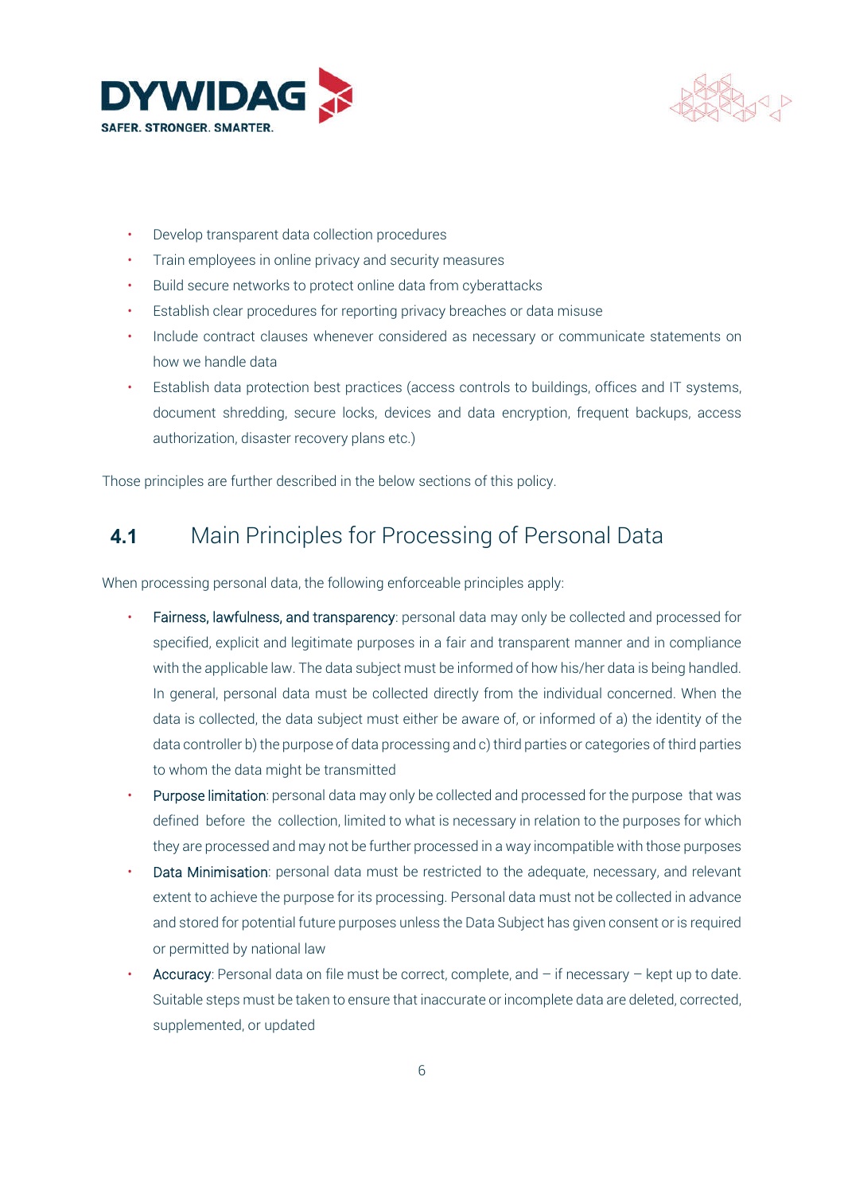



- Develop transparent data collection procedures
- Train employees in online privacy and security measures
- Build secure networks to protect online data from cyberattacks
- Establish clear procedures for reporting privacy breaches or data misuse
- Include contract clauses whenever considered as necessary or communicate statements on how we handle data
- Establish data protection best practices (access controls to buildings, offices and IT systems, document shredding, secure locks, devices and data encryption, frequent backups, access authorization, disaster recovery plans etc.)

Those principles are further described in the below sections of this policy.

#### 4.1 Main Principles for Processing of Personal Data

When processing personal data, the following enforceable principles apply:

- Fairness, lawfulness, and transparency: personal data may only be collected and processed for specified, explicit and legitimate purposes in a fair and transparent manner and in compliance with the applicable law. The data subject must be informed of how his/her data is being handled. In general, personal data must be collected directly from the individual concerned. When the data is collected, the data subject must either be aware of, or informed of a) the identity of the data controller b) the purpose of data processing and c) third parties or categories of third parties to whom the data might be transmitted
- Purpose limitation: personal data may only be collected and processed for the purpose that was defined before the collection, limited to what is necessary in relation to the purposes for which they are processed and may not be further processed in a way incompatible with those purposes
- Data Minimisation: personal data must be restricted to the adequate, necessary, and relevant extent to achieve the purpose for its processing. Personal data must not be collected in advance and stored for potential future purposes unless the Data Subject has given consent or is required or permitted by national law
- Accuracy: Personal data on file must be correct, complete, and  $-$  if necessary  $-$  kept up to date. Suitable steps must be taken to ensure that inaccurate or incomplete data are deleted, corrected, supplemented, or updated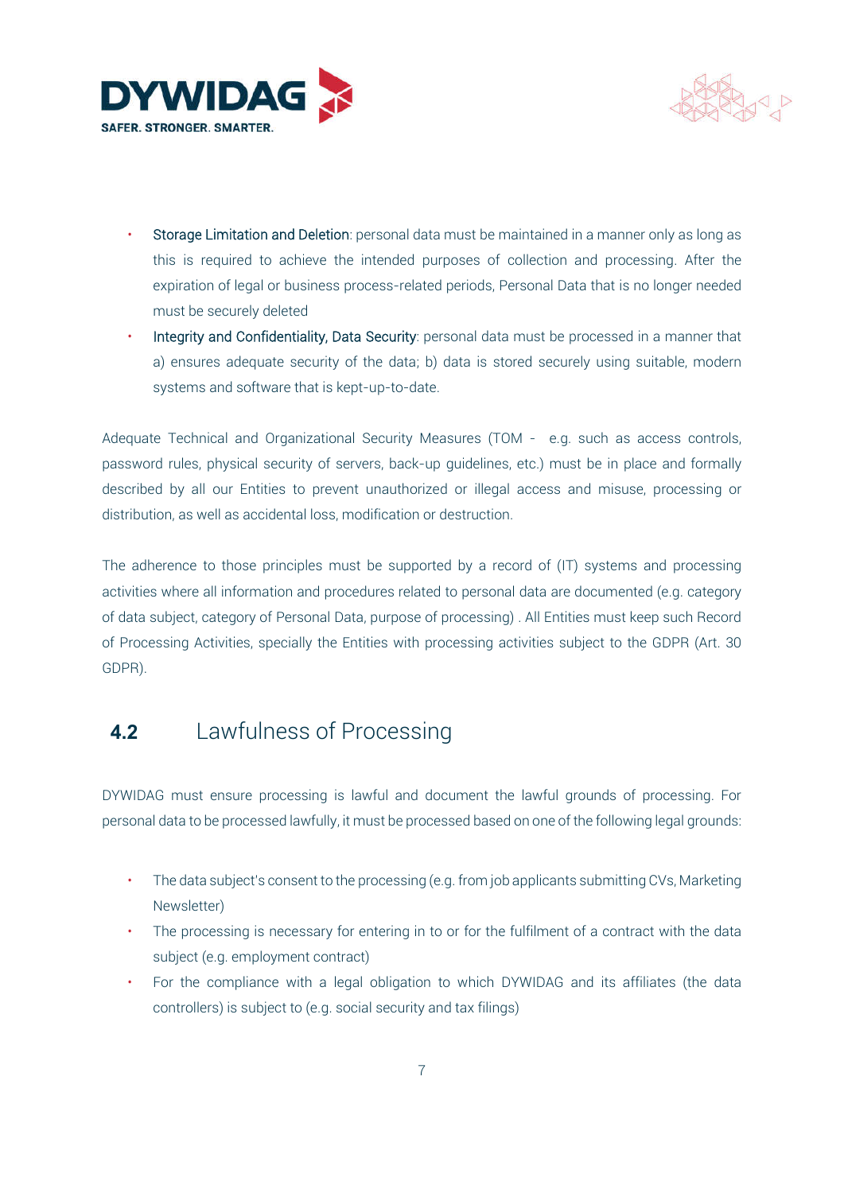



- Storage Limitation and Deletion: personal data must be maintained in a manner only as long as this is required to achieve the intended purposes of collection and processing. After the expiration of legal or business process-related periods, Personal Data that is no longer needed must be securely deleted
- Integrity and Confidentiality, Data Security: personal data must be processed in a manner that a) ensures adequate security of the data; b) data is stored securely using suitable, modern systems and software that is kept-up-to-date.

Adequate Technical and Organizational Security Measures (TOM - e.g. such as access controls, password rules, physical security of servers, back-up guidelines, etc.) must be in place and formally described by all our Entities to prevent unauthorized or illegal access and misuse, processing or distribution, as well as accidental loss, modification or destruction.

The adherence to those principles must be supported by a record of (IT) systems and processing activities where all information and procedures related to personal data are documented (e.g. category of data subject, category of Personal Data, purpose of processing) . All Entities must keep such Record of Processing Activities, specially the Entities with processing activities subject to the GDPR (Art. 30 GDPR).

# 4.2 Lawfulness of Processing

DYWIDAG must ensure processing is lawful and document the lawful grounds of processing. For personal data to be processed lawfully, it must be processed based on one of the following legal grounds:

- The data subject's consent to the processing (e.g. from job applicants submitting CVs, Marketing Newsletter)
- The processing is necessary for entering in to or for the fulfilment of a contract with the data subject (e.g. employment contract)
- For the compliance with a legal obligation to which DYWIDAG and its affiliates (the data controllers) is subject to (e.g. social security and tax filings)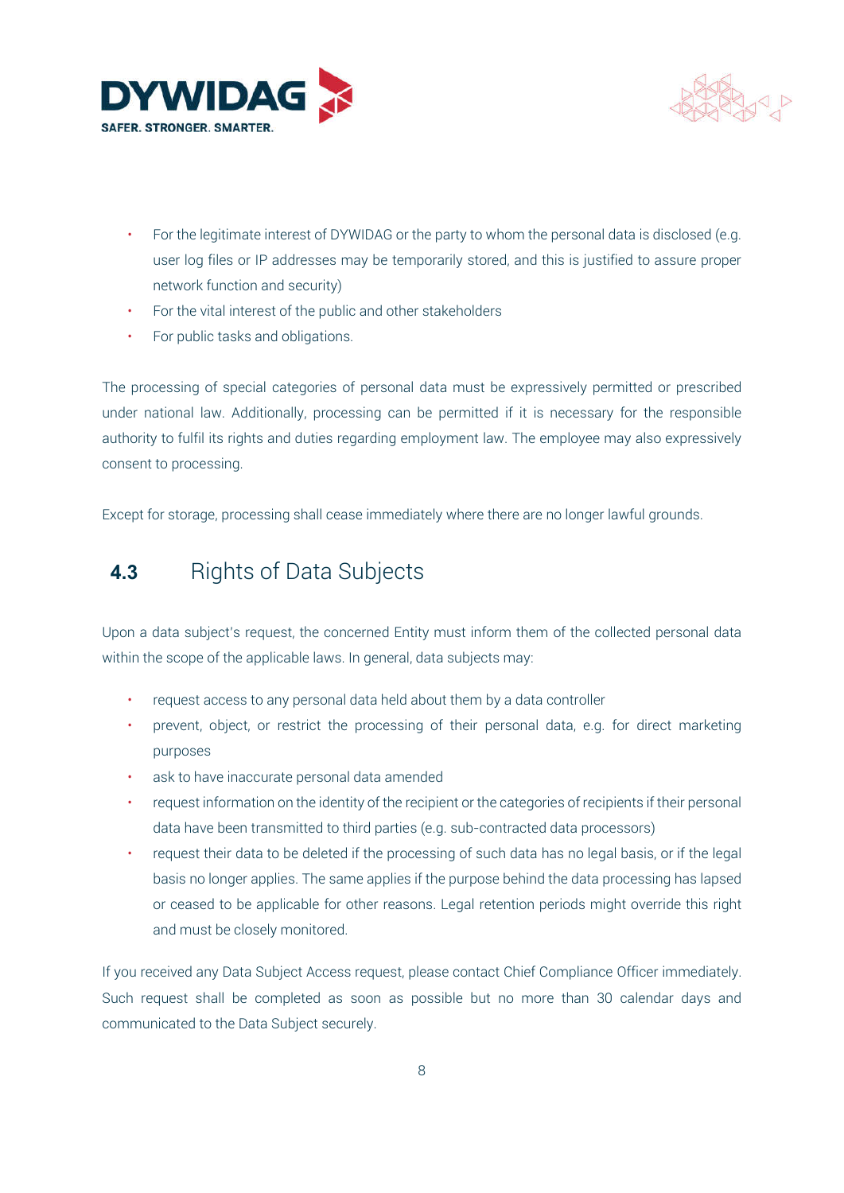



- For the legitimate interest of DYWIDAG or the party to whom the personal data is disclosed (e.g. user log files or IP addresses may be temporarily stored, and this is justified to assure proper network function and security)
- For the vital interest of the public and other stakeholders
- For public tasks and obligations.

The processing of special categories of personal data must be expressively permitted or prescribed under national law. Additionally, processing can be permitted if it is necessary for the responsible authority to fulfil its rights and duties regarding employment law. The employee may also expressively consent to processing.

Except for storage, processing shall cease immediately where there are no longer lawful grounds.

### 4.3 Rights of Data Subjects

Upon a data subject's request, the concerned Entity must inform them of the collected personal data within the scope of the applicable laws. In general, data subjects may:

- request access to any personal data held about them by a data controller
- prevent, object, or restrict the processing of their personal data, e.g. for direct marketing purposes
- ask to have inaccurate personal data amended
- request information on the identity of the recipient or the categories of recipients if their personal data have been transmitted to third parties (e.g. sub-contracted data processors)
- request their data to be deleted if the processing of such data has no legal basis, or if the legal basis no longer applies. The same applies if the purpose behind the data processing has lapsed or ceased to be applicable for other reasons. Legal retention periods might override this right and must be closely monitored.

If you received any Data Subject Access request, please contact Chief Compliance Officer immediately. Such request shall be completed as soon as possible but no more than 30 calendar days and communicated to the Data Subject securely.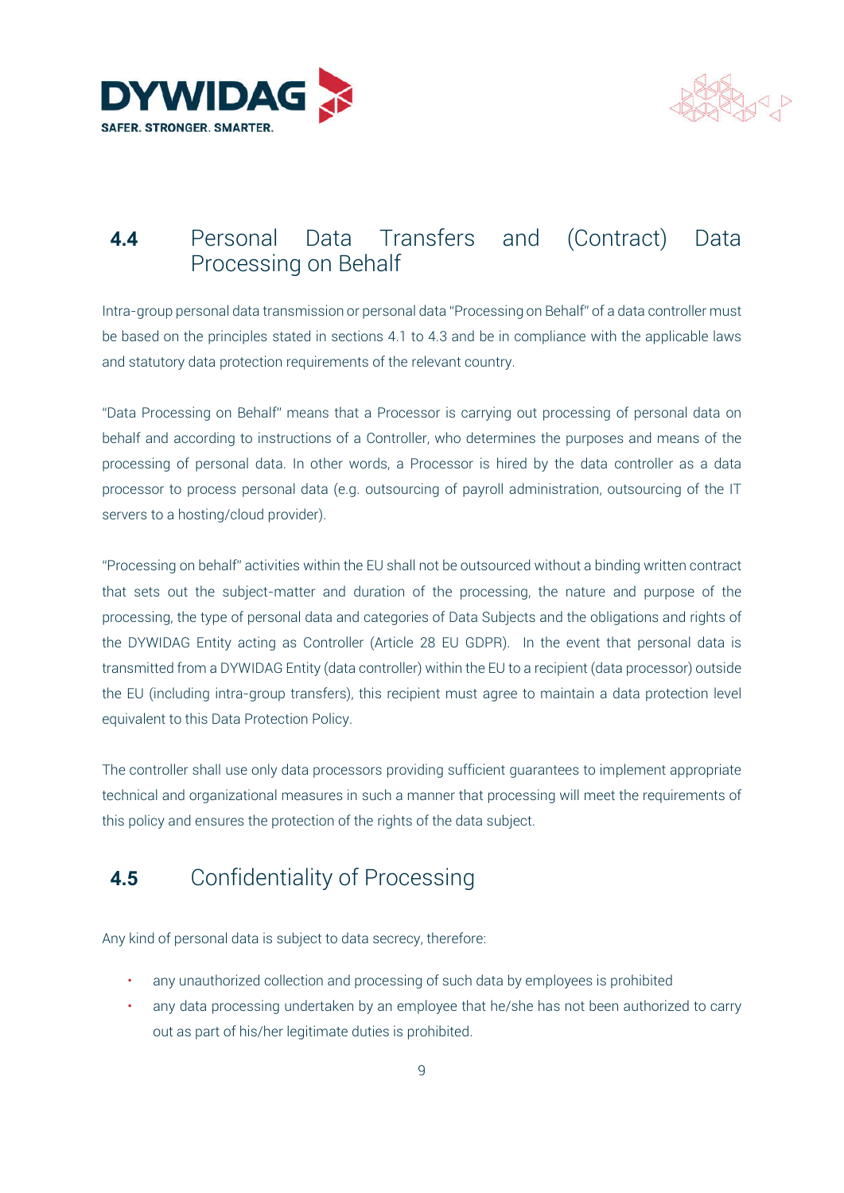



#### 4.4 Personal Data Transfers and (Contract) Data Processing on Behalf

Intra-group personal data transmission or personal data "Processing on Behalf" of a data controller must be based on the principles stated in sections 4.1 to 4.3 and be in compliance with the applicable laws and statutory data protection requirements of the relevant country.

"Data Processing on Behalf" means that a Processor is carrying out processing of personal data on behalf and according to instructions of a Controller, who determines the purposes and means of the processing of personal data. In other words, a Processor is hired by the data controller as a data processor to process personal data (e.g. outsourcing of payroll administration, outsourcing of the IT servers to a hosting/cloud provider).

"Processing on behalf" activities within the EU shall not be outsourced without a binding written contract that sets out the subject-matter and duration of the processing, the nature and purpose of the processing, the type of personal data and categories of Data Subjects and the obligations and rights of the DYWIDAG Entity acting as Controller (Article 28 EU GDPR). In the event that personal data is transmitted from a DYWIDAG Entity (data controller) within the EU to a recipient (data processor) outside the EU (including intra-group transfers), this recipient must agree to maintain a data protection level equivalent to this Data Protection Policy.

The controller shall use only data processors providing sufficient guarantees to implement appropriate technical and organizational measures in such a manner that processing will meet the requirements of this policy and ensures the protection of the rights of the data subject.

# 4.5 Confidentiality of Processing

Any kind of personal data is subject to data secrecy, therefore:

- any unauthorized collection and processing of such data by employees is prohibited
- any data processing undertaken by an employee that he/she has not been authorized to carry out as part of his/her legitimate duties is prohibited.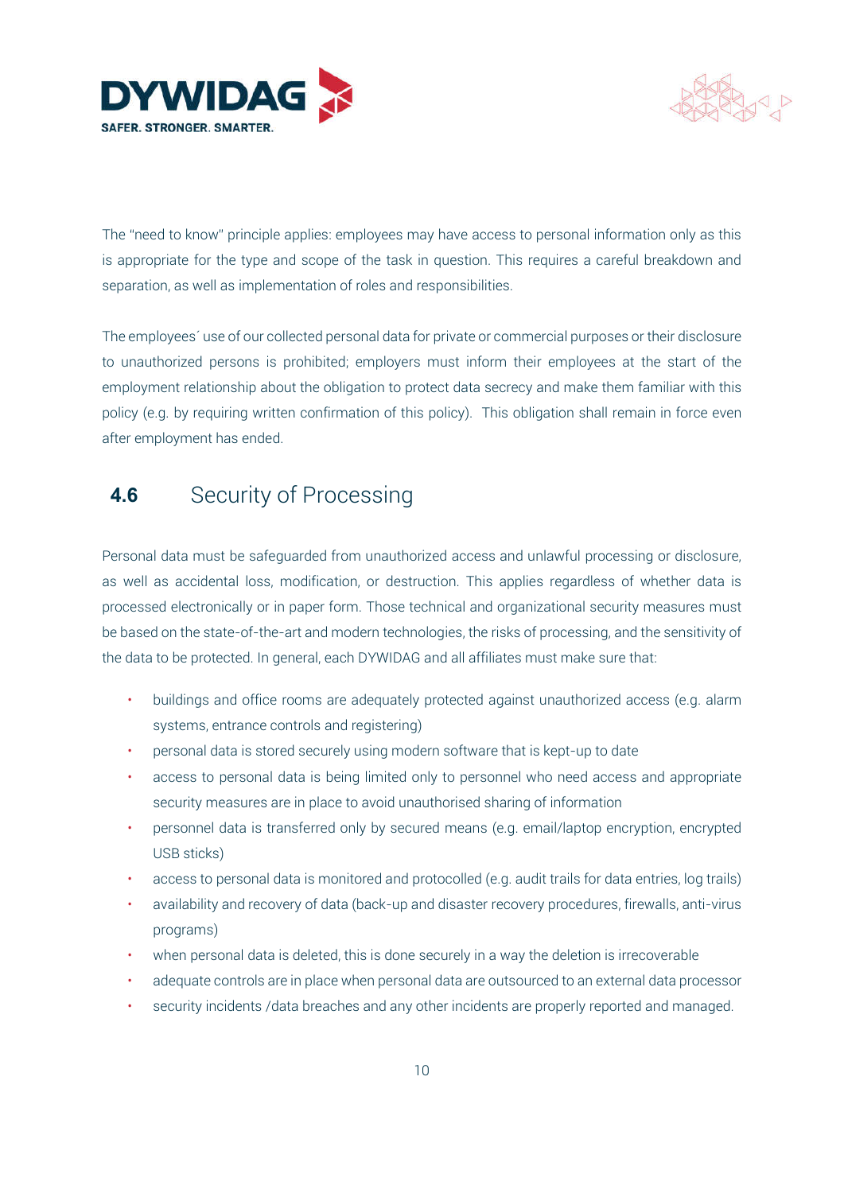



The "need to know" principle applies: employees may have access to personal information only as this is appropriate for the type and scope of the task in question. This requires a careful breakdown and separation, as well as implementation of roles and responsibilities.

The employees´ use of our collected personal data for private or commercial purposes or their disclosure to unauthorized persons is prohibited; employers must inform their employees at the start of the employment relationship about the obligation to protect data secrecy and make them familiar with this policy (e.g. by requiring written confirmation of this policy). This obligation shall remain in force even after employment has ended.

# 4.6 Security of Processing

Personal data must be safeguarded from unauthorized access and unlawful processing or disclosure, as well as accidental loss, modification, or destruction. This applies regardless of whether data is processed electronically or in paper form. Those technical and organizational security measures must be based on the state-of-the-art and modern technologies, the risks of processing, and the sensitivity of the data to be protected. In general, each DYWIDAG and all affiliates must make sure that:

- buildings and office rooms are adequately protected against unauthorized access (e.g. alarm systems, entrance controls and registering)
- personal data is stored securely using modern software that is kept-up to date
- access to personal data is being limited only to personnel who need access and appropriate security measures are in place to avoid unauthorised sharing of information
- personnel data is transferred only by secured means (e.g. email/laptop encryption, encrypted USB sticks)
- access to personal data is monitored and protocolled (e.g. audit trails for data entries, log trails)
- availability and recovery of data (back-up and disaster recovery procedures, firewalls, anti-virus programs)
- when personal data is deleted, this is done securely in a way the deletion is irrecoverable
- adequate controls are in place when personal data are outsourced to an external data processor
- security incidents /data breaches and any other incidents are properly reported and managed.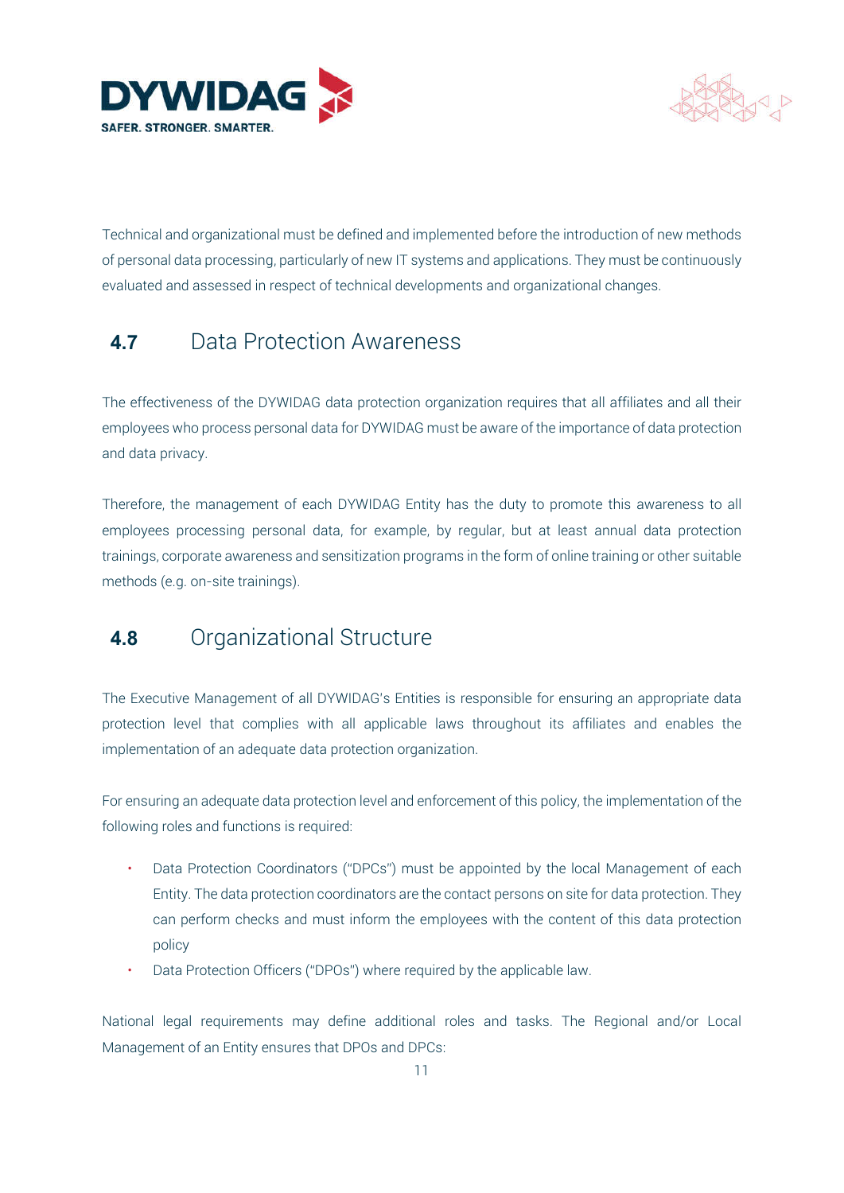



Technical and organizational must be defined and implemented before the introduction of new methods of personal data processing, particularly of new IT systems and applications. They must be continuously evaluated and assessed in respect of technical developments and organizational changes.

# 4.7 Data Protection Awareness

The effectiveness of the DYWIDAG data protection organization requires that all affiliates and all their employees who process personal data for DYWIDAG must be aware of the importance of data protection and data privacy.

Therefore, the management of each DYWIDAG Entity has the duty to promote this awareness to all employees processing personal data, for example, by regular, but at least annual data protection trainings, corporate awareness and sensitization programs in the form of online training or other suitable methods (e.g. on-site trainings).

#### 4.8 Organizational Structure

The Executive Management of all DYWIDAG's Entities is responsible for ensuring an appropriate data protection level that complies with all applicable laws throughout its affiliates and enables the implementation of an adequate data protection organization.

For ensuring an adequate data protection level and enforcement of this policy, the implementation of the following roles and functions is required:

- Data Protection Coordinators ("DPCs") must be appointed by the local Management of each Entity. The data protection coordinators are the contact persons on site for data protection. They can perform checks and must inform the employees with the content of this data protection policy
- Data Protection Officers ("DPOs") where required by the applicable law.

National legal requirements may define additional roles and tasks. The Regional and/or Local Management of an Entity ensures that DPOs and DPCs: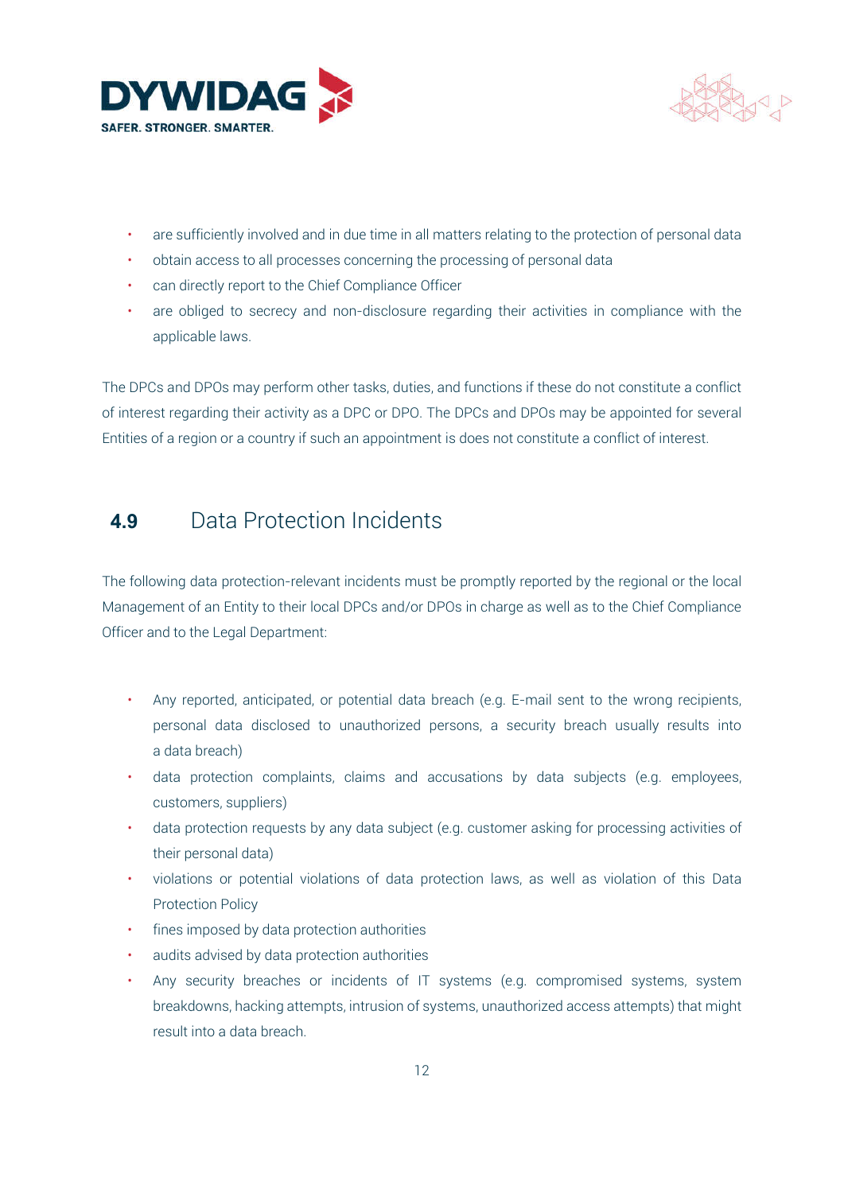



- are sufficiently involved and in due time in all matters relating to the protection of personal data
- obtain access to all processes concerning the processing of personal data
- can directly report to the Chief Compliance Officer
- are obliged to secrecy and non-disclosure regarding their activities in compliance with the applicable laws.

The DPCs and DPOs may perform other tasks, duties, and functions if these do not constitute a conflict of interest regarding their activity as a DPC or DPO. The DPCs and DPOs may be appointed for several Entities of a region or a country if such an appointment is does not constitute a conflict of interest.

# 4.9 Data Protection Incidents

The following data protection-relevant incidents must be promptly reported by the regional or the local Management of an Entity to their local DPCs and/or DPOs in charge as well as to the Chief Compliance Officer and to the Legal Department:

- Any reported, anticipated, or potential data breach (e.g. E-mail sent to the wrong recipients, personal data disclosed to unauthorized persons, a security breach usually results into a data breach)
- data protection complaints, claims and accusations by data subjects (e.g. employees, customers, suppliers)
- data protection requests by any data subject (e.g. customer asking for processing activities of their personal data)
- violations or potential violations of data protection laws, as well as violation of this Data Protection Policy
- fines imposed by data protection authorities
- audits advised by data protection authorities
- Any security breaches or incidents of IT systems (e.g. compromised systems, system breakdowns, hacking attempts, intrusion of systems, unauthorized access attempts) that might result into a data breach.